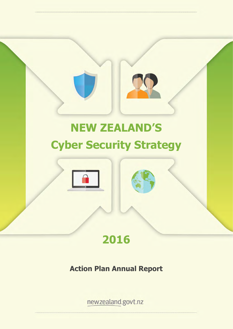# **NEW ZEALAND'S Cyber Security Strategy**





## **Action Plan Annual Report**

newzealand.govt.nz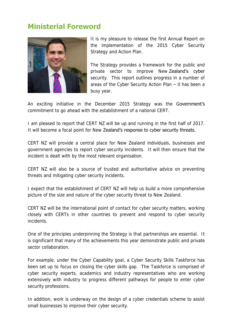## **Ministerial Foreword**



It is my pleasure to release the first Annual Report on the implementation of the 2015 Cyber Security Strategy and Action Plan.

The Strategy provides a framework for the public and private sector to improve New Zealand's cyber security. This report outlines progress in a number of areas of the Cyber Security Action Plan – it has been a busy year.

An exciting initiative in the December 2015 Strategy was the Government's commitment to go ahead with the establishment of a national CERT.

I am pleased to report that CERT NZ will be up and running in the first half of 2017. It will become a focal point for New Zealand's response to cyber security threats.

CERT NZ will provide a central place for New Zealand individuals, businesses and government agencies to report cyber security incidents. It will then ensure that the incident is dealt with by the most relevant organisation.

CERT NZ will also be a source of trusted and authoritative advice on preventing threats and mitigating cyber security incidents.

I expect that the establishment of CERT NZ will help us build a more comprehensive picture of the size and nature of the cyber security threat to New Zealand.

CERT NZ will be the international point of contact for cyber security matters, working closely with CERTs in other countries to prevent and respond to cyber security incidents.

One of the principles underpinning the Strategy is that partnerships are essential. It is significant that many of the achievements this year demonstrate public and private sector collaboration

For example, under the Cyber Capability goal, a Cyber Security Skills Taskforce has been set up to focus on closing the cyber skills gap. The Taskforce is comprised of cyber security experts, academics and industry representatives who are working extensively with industry to progress different pathways for people to enter cyber security professions.

In addition, work is underway on the design of a cyber credentials scheme to assist small businesses to improve their cyber security.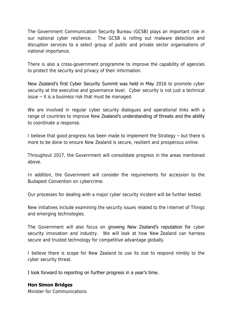The Government Communication Security Bureau (GCSB) plays an important role in our national cyber resilience. The GCSB is rolling out malware detection and disruption services to a select group of public and private sector organisations of national importance.

There is also a cross-government programme to improve the capability of agencies to protect the security and privacy of their information.

New Zealand's first Cyber Security Summit was held in May 2016 to promote cyber security at the executive and governance level. Cyber security is not just a technical issue – it is a business risk that must be managed.

We are involved in regular cyber security dialogues and operational links with a range of countries to improve New Zealand's understanding of threats and the ability to coordinate a response.

I believe that good progress has been made to implement the Strategy – but there is more to be done to ensure New Zealand is secure, resilient and prosperous online.

Throughout 2017, the Government will consolidate progress in the areas mentioned above.

In addition, the Government will consider the requirements for accession to the Budapest Convention on cybercrime.

Our processes for dealing with a major cyber security incident will be further tested.

New initiatives include examining the security issues related to the Internet of Things and emerging technologies.

The Government will also focus on growing New Zealand's reputation for cyber security innovation and industry. We will look at how New Zealand can harness secure and trusted technology for competitive advantage globally.

I believe there is scope for New Zealand to use its size to respond nimbly to the cyber security threat.

I look forward to reporting on further progress in a year's time.

## **Hon Simon Bridges**

Minister for Communications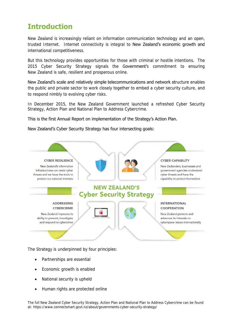## **Introduction**

New Zealand is increasingly reliant on information communication technology and an open, trusted Internet. Internet connectivity is integral to New Zealand's economic growth and international competitiveness.

But this technology provides opportunities for those with criminal or hostile intentions. The 2015 Cyber Security Strategy signals the Government's commitment to ensuring New Zealand is safe, resilient and prosperous online.

New Zealand's scale and relatively simple telecommunications and network structure enables the public and private sector to work closely together to embed a cyber security culture, and to respond nimbly to evolving cyber risks.

In December 2015, the New Zealand Government launched a refreshed Cyber Security Strategy, Action Plan and National Plan to Address Cybercrime.

## This is the first Annual Report on implementation of the Strategy's Action Plan.

### New Zealand's Cyber Security Strategy has four intersecting goals:



The Strategy is underpinned by four principles:

- Partnerships are essential
- Economic growth is enabled
- National security is upheld
- Human rights are protected online

The full New Zealand Cyber Security Strategy, Action Plan and National Plan to Address Cybercrime can be found at: https://www.connectsmart.govt.nz/about/governments-cyber-security-strategy/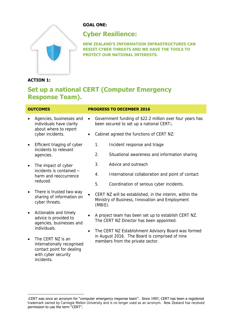

## **GOAL ONE:**

## **Cyber Resilience:**

**NEW ZEALAND'S INFORMATION INFRASTRUCTURES CAN RESIST CYBER THREATS AND WE HAVE THE TOOLS TO PROTECT OUR NATIONAL INTERESTS.**

## **ACTION 1:**

 $\overline{a}$ 

## **Set up a national CERT (Computer Emergency Response Team).**

| <b>OUTCOMES</b> |                                                                                                                                   | <b>PROGRESS TO DECEMBER 2016</b> |                                                                                                                                           |                                                                                                                   |
|-----------------|-----------------------------------------------------------------------------------------------------------------------------------|----------------------------------|-------------------------------------------------------------------------------------------------------------------------------------------|-------------------------------------------------------------------------------------------------------------------|
| $\bullet$       | Agencies, businesses and<br>individuals have clarity                                                                              | $\bullet$                        |                                                                                                                                           | Government funding of \$22.2 million over four years has<br>been secured to set up a national CERT <sub>1</sub> . |
|                 | about where to report<br>cyber incidents.                                                                                         | $\bullet$                        |                                                                                                                                           | Cabinet agreed the functions of CERT NZ:                                                                          |
| $\bullet$       | Efficient triaging of cyber<br>incidents to relevant<br>agencies.                                                                 |                                  | 1.                                                                                                                                        | Incident response and triage                                                                                      |
|                 |                                                                                                                                   |                                  | 2.                                                                                                                                        | Situational awareness and information sharing                                                                     |
| $\bullet$       | The impact of cyber<br>incidents is contained -<br>harm and reoccurrence<br>reduced.                                              |                                  | 3.                                                                                                                                        | Advice and outreach                                                                                               |
|                 |                                                                                                                                   |                                  | 4.                                                                                                                                        | International collaboration and point of contact                                                                  |
|                 |                                                                                                                                   |                                  | 5.                                                                                                                                        | Coordination of serious cyber incidents.                                                                          |
| $\bullet$       | There is trusted two-way<br>sharing of information on<br>cyber threats.                                                           |                                  | $(MBIE)$ .                                                                                                                                | CERT NZ will be established, in the interim, within the<br>Ministry of Business, Innovation and Employment        |
| $\bullet$       | Actionable and timely<br>advice is provided to<br>agencies, businesses and                                                        |                                  |                                                                                                                                           | A project team has been set up to establish CERT NZ.<br>The CERT NZ Director has been appointed.                  |
| $\bullet$       | individuals.<br>The CERT NZ is an<br>internationally recognised<br>contact point for dealing<br>with cyber security<br>incidents. | $\bullet$                        | The CERT NZ Establishment Advisory Board was formed<br>in August 2016. The Board is comprised of nine<br>members from the private sector. |                                                                                                                   |
|                 |                                                                                                                                   |                                  |                                                                                                                                           |                                                                                                                   |

<sup>1</sup>CERT was once an acronym for "computer emergency response team". Since 1997, CERT has been a registered trademark owned by Carnegie Mellon University and is no longer used as an acronym. New Zealand has received permission to use the term "CERT".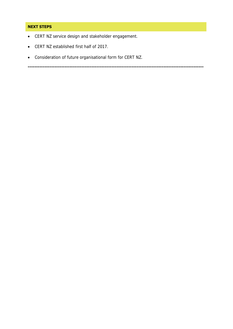## **NEXT STEPS**

- CERT NZ service design and stakeholder engagement.
- CERT NZ established first half of 2017.
- Consideration of future organisational form for CERT NZ.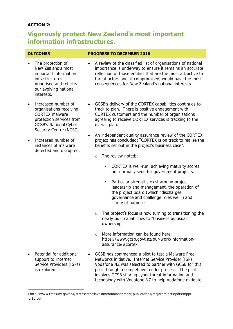## **ACTION 2:**

## **Vigorously protect New Zealand's most important information infrastructures.**

- The protection of New Zealand's most important information infrastructures is prioritised and reflects our evolving national interests.
- Increased number of organisations receiving CORTEX malware protection services from GCSB's National Cyber Security Centre (NCSC).
- Increased number of instances of malware detected and disrupted.

### **OUTCOMES PROGRESS TO DECEMBER 2016**

- A review of the classified list of organisations of national importance is underway to ensure it remains an accurate reflection of those entities that are the most attractive to threat actors and, if compromised, would have the most consequences for New Zealand's national interests.
- GCSB's delivery of the CORTEX capabilities continues to track to plan. There is positive engagement with CORTEX customers and the number of organisations agreeing to receive CORTEX services is tracking to the overall plan.
- An independent quality assurance review of the CORTEX project has concluded: "CORTEX is on track to realise the benefits set out in the project's business case".
	- $\circ$  The review noted $2$ :
		- **CORTEX** is well-run, achieving maturity scores not normally seen for government projects.
		- **Particular strengths exist around project** leadership and management, the operation of the project board (which "discharges governance and challenge roles well") and clarity of purpose.
	- $\circ$  The project's focus is now turning to transitioning the newly-built capabilities to "business-as-usual" ownership.
	- o More information can be found here: https://www.gcsb.govt.nz/our-work/informationassurance/#cortex
- Potential for additional support to Internet Service Providers (ISPs) is explored.

 $\overline{\phantom{a}}$ 

 GCSB has commenced a pilot to test a Malware Free Networks initiative. Internet Service Provider (ISP) Vodafone NZ was selected to partner with GCSB for this pilot through a competitive tender process. The pilot involves GCSB sharing cyber threat information and technology with Vodafone NZ to help Vodafone mitigate

<sup>2</sup> http://www.treasury.govt.nz/statesector/investmentmanagement/publications/majorprojects/pdfs/mpprjul16.pdf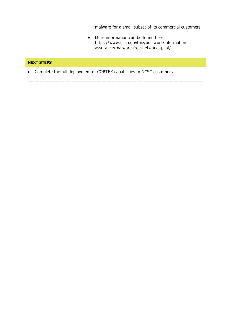malware for a small subset of its commercial customers.

 More information can be found here: https://www.gcsb.govt.nz/our-work/informationassurance/malware-free-networks-pilot/

### **NEXT STEPS**

Complete the full deployment of CORTEX capabilities to NCSC customers.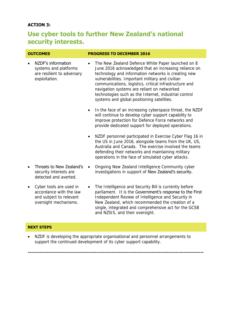## **ACTION 3:**

## **Use cyber tools to further New Zealand's national security interests.**

| <b>OUTCOMES</b> |                                                                                            | <b>PROGRESS TO DECEMBER 2016</b>                                                                                                                                                                                                                                                                                                                                                                                                                   |  |
|-----------------|--------------------------------------------------------------------------------------------|----------------------------------------------------------------------------------------------------------------------------------------------------------------------------------------------------------------------------------------------------------------------------------------------------------------------------------------------------------------------------------------------------------------------------------------------------|--|
|                 | NZDF's information<br>systems and platforms<br>are resilient to adversary<br>exploitation. | The New Zealand Defence White Paper launched on 8<br>$\bullet$<br>June 2016 acknowledged that an increasing reliance on<br>technology and information networks is creating new<br>vulnerabilities. Important military and civilian<br>communications, logistics, critical infrastructure and<br>navigation systems are reliant on networked<br>technologies such as the Internet, industrial control<br>systems and global positioning satellites. |  |
|                 |                                                                                            | In the face of an increasing cyberspace threat, the NZDF<br>$\bullet$<br>will continue to develop cyber support capability to<br>improve protection for Defence Force networks and<br>provide dedicated support for deployed operations.                                                                                                                                                                                                           |  |
|                 |                                                                                            | NZDF personnel participated in Exercise Cyber Flag 16 in<br>$\bullet$<br>the US in June 2016, alongside teams from the UK, US,<br>Australia and Canada. The exercise involved the teams<br>defending their networks and maintaining military<br>operations in the face of simulated cyber attacks.                                                                                                                                                 |  |
|                 | Threats to New Zealand's<br>security interests are<br>detected and averted.                | Ongoing New Zealand Intelligence Community cyber<br>$\bullet$<br>investigations in support of New Zealand's security.                                                                                                                                                                                                                                                                                                                              |  |
|                 | Cyber tools are used in<br>accordance with the law                                         | The Intelligence and Security Bill is currently before<br>$\bullet$<br>parliament. It is the Government's response to the First                                                                                                                                                                                                                                                                                                                    |  |

parliament. It is the Government's response to the First Independent Review of Intelligence and Security in New Zealand, which recommended the creation of a single, integrated and comprehensive act for the GCSB and NZSIS, and their oversight.

### **NEXT STEPS**

and subject to relevant oversight mechanisms.

• NZDF is developing the appropriate organisational and personnel arrangements to support the continued development of its cyber support capability.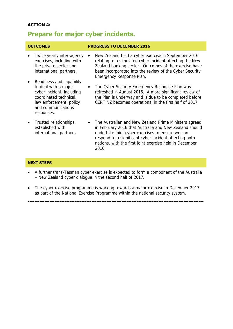## **ACTION 4:**

## **Prepare for major cyber incidents.**

### **OUTCOMES PROGRESS TO DECEMBER 2016** Twice yearly inter-agency • exercises, including with the private sector and international partners. • Readiness and capability to deal with a major cyber incident, including coordinated technical, law enforcement, policy and communications responses. New Zealand held a cyber exercise in September 2016 relating to a simulated cyber incident affecting the New Zealand banking sector. Outcomes of the exercise have been incorporated into the review of the Cyber Security Emergency Response Plan. The Cyber Security Emergency Response Plan was refreshed in August 2016. A more significant review of the Plan is underway and is due to be completed before CERT NZ becomes operational in the first half of 2017. Trusted relationships established with international partners. • The Australian and New Zealand Prime Ministers agreed in February 2016 that Australia and New Zealand should

undertake joint cyber exercises to ensure we can respond to a significant cyber incident affecting both nations, with the first joint exercise held in December 2016.

### **NEXT STEPS**

- A further trans-Tasman cyber exercise is expected to form a component of the Australia – New Zealand cyber dialogue in the second half of 2017.
- The cyber exercise programme is working towards a major exercise in December 2017 as part of the National Exercise Programme within the national security system.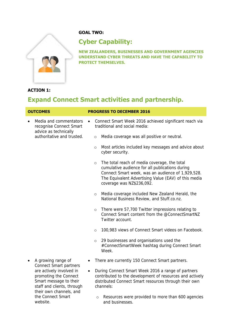

the Connect Smart

website.

## **GOAL TWO:**

## **Cyber Capability:**

**NEW ZEALANDERS, BUSINESSES AND GOVERNMENT AGENCIES UNDERSTAND CYBER THREATS AND HAVE THE CAPABILITY TO PROTECT THEMSELVES.**

## **ACTION 1:**

## **Expand Connect Smart activities and partnership.**

| <b>OUTCOMES</b>                                                                                                                                                | <b>PROGRESS TO DECEMBER 2016</b>                                                                                                                                                                                                                     |  |  |
|----------------------------------------------------------------------------------------------------------------------------------------------------------------|------------------------------------------------------------------------------------------------------------------------------------------------------------------------------------------------------------------------------------------------------|--|--|
| Media and commentators<br>recognise Connect Smart                                                                                                              | Connect Smart Week 2016 achieved significant reach via<br>traditional and social media:                                                                                                                                                              |  |  |
| advice as technically<br>authoritative and trusted.                                                                                                            | Media coverage was all positive or neutral.<br>$\circ$                                                                                                                                                                                               |  |  |
|                                                                                                                                                                | Most articles included key messages and advice about<br>$\circ$<br>cyber security.                                                                                                                                                                   |  |  |
|                                                                                                                                                                | The total reach of media coverage, the total<br>$\circ$<br>cumulative audience for all publications during<br>Connect Smart week, was an audience of 1,929,528.<br>The Equivalent Advertising Value (EAV) of this media<br>coverage was NZ\$236,092. |  |  |
|                                                                                                                                                                | Media coverage included New Zealand Herald, the<br>$\circ$<br>National Business Review, and Stuff.co.nz.                                                                                                                                             |  |  |
|                                                                                                                                                                | There were 57,700 Twitter impressions relating to<br>$\circ$<br>Connect Smart content from the @ConnectSmartNZ<br>Twitter account.                                                                                                                   |  |  |
|                                                                                                                                                                | 100,983 views of Connect Smart videos on Facebook.<br>$\circ$                                                                                                                                                                                        |  |  |
|                                                                                                                                                                | 29 businesses and organisations used the<br>$\circ$<br>#ConnectSmartWeek hashtag during Connect Smart<br>Week.                                                                                                                                       |  |  |
| A growing range of                                                                                                                                             | There are currently 150 Connect Smart partners.<br>$\bullet$                                                                                                                                                                                         |  |  |
| Connect Smart partners<br>are actively involved in<br>promoting the Connect<br>Smart message to their<br>staff and clients, through<br>their own channels, and | During Connect Smart Week 2016 a range of partners<br>$\bullet$<br>contributed to the development of resources and actively<br>distributed Connect Smart resources through their own<br>channels:                                                    |  |  |

o Resources were provided to more than 600 agencies and businesses.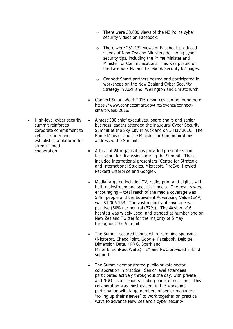- o There were 33,000 views of the NZ Police cyber security videos on Facebook.
- o There were 251,132 views of Facebook produced videos of New Zealand Ministers delivering cyber security tips, including the Prime Minister and Minister for Communications. This was posted on the Facebook NZ and Facebook Security NZ pages.
- o Connect Smart partners hosted and participated in workshops on the New Zealand Cyber Security Strategy in Auckland, Wellington and Christchurch.
- Connect Smart Week 2016 resources can be found here: https://www.connectsmart.govt.nz/events/connectsmart-week-2016/
- High-level cyber security summit reinforces corporate commitment to cyber security and establishes a platform for strengthened cooperation.
- Almost 300 chief executives, board chairs and senior business leaders attended the inaugural Cyber Security Summit at the Sky City in Auckland on 5 May 2016. The Prime Minister and the Minister for Communications addressed the Summit.
- A total of 24 organisations provided presenters and facilitators for discussions during the Summit. These included international presenters (Centre for Strategic and International Studies, Microsoft, FireEye, Hewlett Packard Enterprise and Google).
- Media targeted included TV, radio, print and digital, with both mainstream and specialist media. The results were encouraging – total reach of the media coverage was 5.4m people and the Equivalent Advertising Value (EAV) was \$1,006,153. The vast majority of coverage was positive (60%) or neutral (37%). The #cybernz16 hashtag was widely used, and trended at number one on New Zealand Twitter for the majority of 5 May throughout the Summit.
- The Summit secured sponsorship from nine sponsors (Microsoft, Check Point, Google, Facebook, Deloitte, Dimension Data, KPMG, Spark and MinterEllisonRuddWatts). EY and PwC provided in-kind support.
- The Summit demonstrated public-private sector collaboration in practice. Senior level attendees participated actively throughout the day, with private and NGO sector leaders leading panel discussions. This collaboration was most evident in the workshop participation with large numbers of senior managers "rolling up their sleeves" to work together on practical ways to advance New Zealand's cyber security.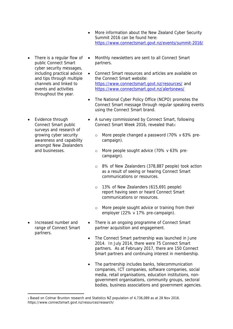- More information about the New Zealand Cyber Security Summit 2016 can be found here: <https://www.connectsmart.govt.nz/events/summit-2016/>
- There is a regular flow of public Connect Smart cyber security messages, including practical advice and tips through multiple channels and linked to events and activities throughout the year.
- Evidence through Connect Smart public surveys and research of growing cyber security awareness and capability amongst New Zealanders and businesses.

 Increased number and range of Connect Smart partners.

 $\overline{\phantom{a}}$ 

- Monthly newsletters are sent to all Connect Smart partners.
- Connect Smart resources and articles are available on the Connect Smart website: <https://www.connectsmart.govt.nz/resources/> and <https://www.connectsmart.govt.nz/alertsnews/>
- The National Cyber Policy Office (NCPO) promotes the Connect Smart message through regular speaking events using the Connect Smart brand.
- A survey commissioned by Connect Smart, following Connect Smart Week 2016, revealed that3:
	- o More people changed a password (70% v 63% precampaign).
	- o More people sought advice (70% v 63% precampaign).
	- o 8% of New Zealanders (378,887 people) took action as a result of seeing or hearing Connect Smart communications or resources.
	- o 13% of New Zealanders (615,691 people) report having seen or heard Connect Smart communications or resources.
	- o More people sought advice or training from their employer (22% v 17% pre-campaign).
- There is an ongoing programme of Connect Smart partner acquisition and engagement.
- The Connect Smart partnership was launched in June 2014. In July 2014, there were 75 Connect Smart partners. As at February 2017, there are 150 Connect Smart partners and continuing interest in membership.
- The partnership includes banks, telecommunication companies, ICT companies, software companies, social media, retail organisations, education institutions, nongovernment organisations, community groups, sectoral bodies, business associations and government agencies.

<sup>3</sup> Based on Colmar Brunton research and Statistics NZ population of 4,736,089 as at 28 Nov 2016. https://www.connectsmart.govt.nz/resources/research/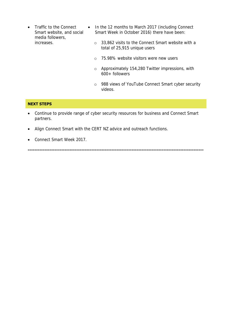- Traffic to the Connect Smart website, and social media followers, increases.
	- In the 12 months to March 2017 (including Connect Smart Week in October 2016) there have been:
		- o 33,862 visits to the Connect Smart website with a total of 25,915 unique users
		- o 75.98% website visitors were new users
		- o Approximately 154,280 Twitter impressions, with 600+ followers
		- o 988 views of YouTube Connect Smart cyber security videos.

### **NEXT STEPS**

 Continue to provide range of cyber security resources for business and Connect Smart partners.

- Align Connect Smart with the CERT NZ advice and outreach functions.
- Connect Smart Week 2017.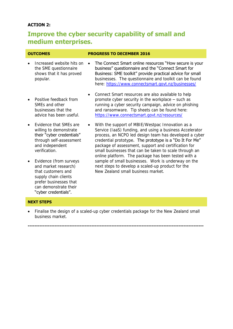## **ACTION 2:**

## **Improve the cyber security capability of small and medium enterprises.**

| <b>OUTCOMES</b>                  |                                                                                                                        | <b>PROGRESS TO DECEMBER 2016</b>                                                                                                                                                                                                                                                                                                                                                                           |  |  |
|----------------------------------|------------------------------------------------------------------------------------------------------------------------|------------------------------------------------------------------------------------------------------------------------------------------------------------------------------------------------------------------------------------------------------------------------------------------------------------------------------------------------------------------------------------------------------------|--|--|
| popular.                         | Increased website hits on<br>the SME questionnaire<br>shows that it has proved                                         | The Connect Smart online resources "How secure is your<br>business" questionnaire and the "Connect Smart for<br>Business: SME toolkit" provide practical advice for small<br>businesses. The questionnaire and toolkit can be found<br>here: https://www.connectsmart.govt.nz/businesses/                                                                                                                  |  |  |
| SMEs and other                   | Positive feedback from<br>businesses that the<br>advice has been useful.                                               | Connect Smart resources are also available to help<br>promote cyber security in the workplace - such as<br>running a cyber security campaign, advice on phishing<br>and ransomware. Tip sheets can be found here:<br>https://www.connectsmart.govt.nz/resources/                                                                                                                                           |  |  |
| and independent<br>verification. | Evidence that SMEs are<br>willing to demonstrate<br>their "cyber credentials"<br>through self-assessment               | With the support of MBIE/Westpac Innovation as a<br>Service (laaS) funding, and using a business Accelerator<br>process, an NCPO led design team has developed a cyber<br>credential prototype. The prototype is a "Do It For Me"<br>package of assessment, support and certification for<br>small businesses that can be taken to scale through an<br>online platform. The package has been tested with a |  |  |
|                                  | Evidence (from surveys<br>and market research)<br>that customers and<br>supply chain clients<br>prefer businesses that | sample of small businesses. Work is underway on the<br>next steps to develop a scaled-up product for the<br>New Zealand small business market.                                                                                                                                                                                                                                                             |  |  |

### **NEXT STEPS**

can demonstrate their "cyber credentials".

 Finalise the design of a scaled-up cyber credentials package for the New Zealand small business market.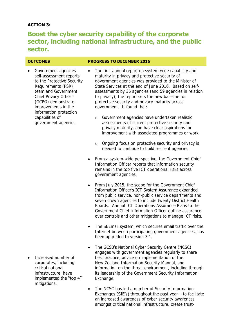## **ACTION 3:**

## **Boost the cyber security capability of the corporate sector, including national infrastructure, and the public sector.**

## **OUTCOMES PROGRESS TO DECEMBER 2016**

- Government agencies self-assessment reports to the Protective Security Requirements (PSR) team and Government Chief Privacy Officer (GCPO) demonstrate improvements in the information protection capabilities of government agencies.
- The first annual report on system-wide capability and maturity in privacy and protective security of government agencies was provided to the Minister of State Services at the end of June 2016. Based on selfassessments by 36 agencies (and 59 agencies in relation to privacy), the report sets the new baseline for protective security and privacy maturity across government. It found that:
	- o Government agencies have undertaken realistic assessments of current protective security and privacy maturity, and have clear aspirations for improvement with associated programmes or work.
	- o Ongoing focus on protective security and privacy is needed to continue to build resilient agencies.
- From a system-wide perspective, the Government Chief Information Officer reports that information security remains in the top five ICT operational risks across government agencies.
- From July 2015, the scope for the Government Chief Information Officer's ICT System Assurance expanded from public service, non-public service departments and seven crown agencies to include twenty District Health Boards. Annual ICT Operations Assurance Plans to the Government Chief Information Officer outline assurance over controls and other mitigations to manage ICT risks.
- The SEEmail system, which secures email traffic over the Internet between participating government agencies, has been upgraded to version 3.1.
- The GCSB's National Cyber Security Centre (NCSC) engages with government agencies regularly to share best practice, advice on implementation of the New Zealand Information Security Manual, and information on the threat environment, including through its leadership of the Government Security Information Exchange.
- The NCSC has led a number of Security Information Exchanges (SIE's) throughout the past year  $-$  to facilitate an increased awareness of cyber security awareness amongst critical national infrastructure, create trust-
- Increased number of corporates, including critical national infrastructure, have implemented the "top 4" mitigations.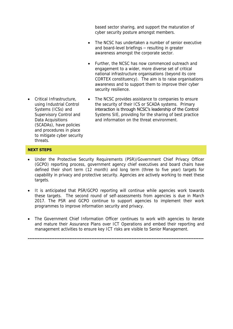based sector sharing, and support the maturation of cyber security posture amongst members.

- The NCSC has undertaken a number of senior executive and board-level briefings – resulting in greater awareness amongst the corporate sector.
- Further, the NCSC has now commenced outreach and engagement to a wider, more diverse set of critical national infrastructure organisations (beyond its core CORTEX constituency). The aim is to raise organisations awareness and to support them to improve their cyber security resilience.
- Critical Infrastructure, using Industrial Control Systems (ICSs) and Supervisory Control and Data Acquisitions (SCADAs), have policies and procedures in place to mitigate cyber security threats.
- The NCSC provides assistance to companies to ensure the security of their ICS or SCADA systems. Primary interaction is through NCSC's leadership of the Control Systems SIE, providing for the sharing of best practice and information on the threat environment.

### **NEXT STEPS**

- Under the Protective Security Requirements (PSR)/Government Chief Privacy Officer (GCPO) reporting process, government agency chief executives and board chairs have defined their short term (12 month) and long term (three to five year) targets for capability in privacy and protective security. Agencies are actively working to meet these targets.
- It is anticipated that PSR/GCPO reporting will continue while agencies work towards these targets. The second round of self-assessments from agencies is due in March 2017. The PSR and GCPO continue to support agencies to implement their work programmes to improve information security and privacy.
- The Government Chief Information Officer continues to work with agencies to iterate and mature their Assurance Plans over ICT Operations and embed their reporting and management activities to ensure key ICT risks are visible to Senior Management.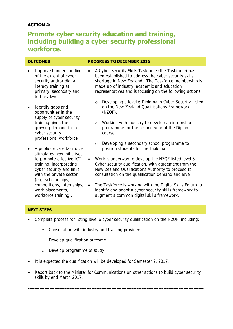## **ACTION 4:**

## **Promote cyber security education and training, including building a cyber security professional workforce.**

- Improved understanding of the extent of cyber security and/or digital literacy training at primary, secondary and tertiary levels.
- Identify gaps and opportunities in the supply of cyber security training given the growing demand for a cyber security professional workforce.
- A public-private taskforce stimulates new initiatives to promote effective ICT training, incorporating cyber security and links with the private sector (e.g. scholarships, work placements, workforce training).

### **OUTCOMES PROGRESS TO DECEMBER 2016**

- A Cyber Security Skills Taskforce (the Taskforce) has been established to address the cyber security skills shortage in New Zealand. The Taskforce membership is made up of industry, academic and education representatives and is focusing on the following actions:
	- o Developing a level 6 Diploma in Cyber Security, listed on the New Zealand Qualifications Framework (NZQF).
	- o Working with industry to develop an internship programme for the second year of the Diploma course.
	- o Developing a secondary school programme to position students for the Diploma.
- Work is underway to develop the NZQF listed level 6 Cyber security qualification, with agreement from the New Zealand Qualifications Authority to proceed to consultation on the qualification demand and level.
- competitions, internships, The Taskforce is working with the Digital Skills Forum to identify and adopt a cyber security skills framework to augment a common digital skills framework.

### **NEXT STEPS**

- Complete process for listing level 6 cyber security qualification on the NZQF, including:
	- o Consultation with industry and training providers
	- o Develop qualification outcome
	- o Develop programme of study.
- It is expected the qualification will be developed for Semester 2, 2017.
- Report back to the Minister for Communications on other actions to build cyber security skills by end March 2017.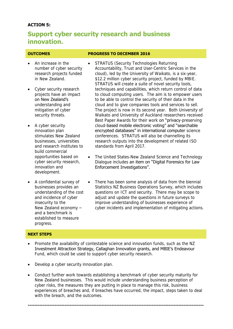## **ACTION 5:**

## **Support cyber security research and business innovation.**

- An increase in the number of cyber security research projects funded in New Zealand.
- Cyber security research projects have an impact on New Zealand's understanding and mitigation of cyber security threats.
- A cyber security innovation plan stimulates New Zealand businesses, universities and research institutes to build commercial opportunities based on cyber security research, innovation and development.
- A confidential survey of businesses provides an understanding of the cost and incidence of cyber insecurity to the New Zealand economy – and a benchmark is established to measure progress.

### **OUTCOMES PROGRESS TO DECEMBER 2016**

- STRATUS (Security Technologies Returning Accountability, Trust and User-Centric Services in the cloud), led by the University of Waikato, is a six-year, \$12.2 million cyber security project, funded by MBIE. STRATUS will create a suite of novel security tools, techniques and capabilities, which return control of data to cloud computing users. The aim is to empower users to be able to control the security of their data in the cloud and to give companies tools and services to sell. The project is now in its second year. Both University of Waikato and University of Auckland researchers received Best Paper Awards for their work on "privacy-preserving cloud-based mobile electronic voting" and "searchable encrypted databases" in international computer science conferences. STRATUS will also be channelling its research outputs into the development of related ISO standards from April 2017.
- The United States-New Zealand Science and Technology Dialogue includes an item on "Digital Forensics for Law Enforcement Investigations".
- There has been some analysis of data from the biennial Statistics NZ Business Operations Survey, which includes questions on ICT and security. There may be scope to adjust and update the questions in future surveys to improve understanding of businesses experience of cyber incidents and implementation of mitigating actions.

### **NEXT STEPS**

- Promote the availability of contestable science and innovation funds, such as the NZ Investment Attraction Strategy, Callaghan Innovation grants, and MBIE's Endeavour Fund, which could be used to support cyber security research.
- Develop a cyber security innovation plan.
- Conduct further work towards establishing a benchmark of cyber security maturity for New Zealand businesses. This would include understanding business perception of cyber risks, the measures they are putting in place to manage this risk, business experiences of breaches and, if breaches have occurred, the impact, steps taken to deal with the breach, and the outcomes.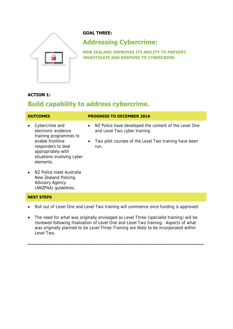

## **GOAL THREE:**

## **Addressing Cybercrime:**

**NEW ZEALAND IMPROVES ITS ABILITY TO PREVENT, INVESTIGATE AND RESPOND TO CYBERCRIME.**

## **ACTION 1:**

## **Build capability to address cybercrime.**

| <b>OUTCOMES</b>                                                                                          | <b>PROGRESS TO DECEMBER 2016</b>                                                                    |  |
|----------------------------------------------------------------------------------------------------------|-----------------------------------------------------------------------------------------------------|--|
| Cybercrime and<br>$\bullet$<br>electronic evidence<br>training programmes to                             | NZ Police have developed the content of the Level One<br>$\bullet$<br>and Level Two cyber training. |  |
| enable frontline<br>responders to deal<br>appropriately with<br>situations involving cyber<br>elements.  | Two pilot courses of the Level Two training have been<br>$\bullet$<br>run.                          |  |
| NZ Police meet Australia<br>$\bullet$<br>New Zealand Policing<br>Advisory Agency<br>(ANZPAA) quidelines. |                                                                                                     |  |

### **NEXT STEPS**

- Roll out of Level One and Level Two training will commence once funding is approved.
- The need for what was originally envisaged as Level Three (specialist training) will be reviewed following finalisation of Level One and Level Two training. Aspects of what was originally planned to be Level Three Training are likely to be incorporated within Level Two.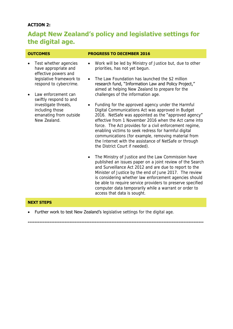## **ACTION 2:**

## **Adapt New Zealand's policy and legislative settings for the digital age.**

- Test whether agencies have appropriate and effective powers and legislative framework to respond to cybercrime.
- Law enforcement can swiftly respond to and investigate threats, including those emanating from outside New Zealand.

### **OUTCOMES PROGRESS TO DECEMBER 2016**

- Work will be led by Ministry of Justice but, due to other priorities, has not yet begun.
- The Law Foundation has launched the \$2 million research fund, "Information Law and Policy Project," aimed at helping New Zealand to prepare for the challenges of the information age.
- Funding for the approved agency under the Harmful Digital Communications Act was approved in Budget 2016. NetSafe was appointed as the "approved agency" effective from 1 November 2016 when the Act came into force. The Act provides for a civil enforcement regime, enabling victims to seek redress for harmful digital communications (for example, removing material from the Internet with the assistance of NetSafe or through the District Court if needed).
- The Ministry of Justice and the Law Commission have published an issues paper on a joint review of the Search and Surveillance Act 2012 and are due to report to the Minister of Justice by the end of June 2017. The review is considering whether law enforcement agencies should be able to require service providers to preserve specified computer data temporarily while a warrant or order to access that data is sought.

### **NEXT STEPS**

Further work to test New Zealand's legislative settings for the digital age.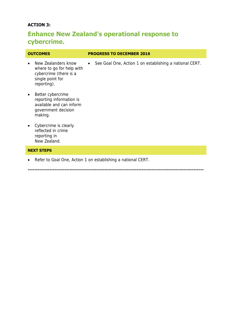## **ACTION 3:**

## **Enhance New Zealand's operational response to cybercrime.**

| <b>OUTCOMES</b>                                                                                               | <b>PROGRESS TO DECEMBER 2016</b>                          |  |  |
|---------------------------------------------------------------------------------------------------------------|-----------------------------------------------------------|--|--|
| New Zealanders know<br>where to go for help with<br>cybercrime (there is a<br>single point for<br>reporting). | • See Goal One, Action 1 on establishing a national CERT. |  |  |

**---------------------------------------------------------------------------------------------------------**

- Better cybercrime reporting information is available and can inform government decision making.
- Cybercrime is clearly reflected in crime reporting in New Zealand.

## **NEXT STEPS**

Refer to Goal One, Action 1 on establishing a national CERT.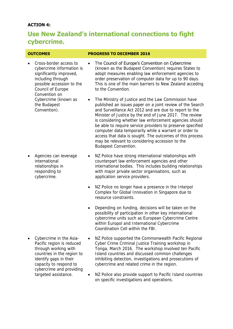## **ACTION 4:**

## **Use New Zealand's international connections to fight cybercrime.**

| <b>OUTCOMES</b>                                                                                                                                                                     | <b>PROGRESS TO DECEMBER 2016</b>                                                                                                                                                                                                                                                                                                                                                                                                                                                                                                                              |  |  |
|-------------------------------------------------------------------------------------------------------------------------------------------------------------------------------------|---------------------------------------------------------------------------------------------------------------------------------------------------------------------------------------------------------------------------------------------------------------------------------------------------------------------------------------------------------------------------------------------------------------------------------------------------------------------------------------------------------------------------------------------------------------|--|--|
| Cross-border access to<br>$\bullet$<br>cybercrime information is<br>significantly improved,<br>including through<br>possible accession to the<br>Council of Europe<br>Convention on | The Council of Europe's Convention on Cybercrime<br>(known as the Budapest Convention) requires States to<br>adopt measures enabling law enforcement agencies to<br>order preservation of computer data for up to 90 days.<br>This is one of the main barriers to New Zealand acceding<br>to the Convention.                                                                                                                                                                                                                                                  |  |  |
| Cybercrime (known as<br>the Budapest<br>Convention).                                                                                                                                | The Ministry of Justice and the Law Commission have<br>published an issues paper on a joint review of the Search<br>and Surveillance Act 2012 and are due to report to the<br>Minister of Justice by the end of June 2017. The review<br>is considering whether law enforcement agencies should<br>be able to require service providers to preserve specified<br>computer data temporarily while a warrant or order to<br>access that data is sought. The outcomes of this process<br>may be relevant to considering accession to the<br>Budapest Convention. |  |  |
| Agencies can leverage<br>$\bullet$<br>international                                                                                                                                 | NZ Police have strong international relationships with<br>counterpart law enforcement agencies and other                                                                                                                                                                                                                                                                                                                                                                                                                                                      |  |  |

 Agencies can leverage international relationships in responding to cybercrime.

 Cybercrime in the Asia-Pacific region is reduced through working with countries in the region to identify gaps in their capacity to respond to cybercrime and providing targeted assistance.

- NZ Police have strong international relationships with counterpart law enforcement agencies and other international bodies. This includes building relationships with major private sector organisations, such as application service providers.
- NZ Police no longer have a presence in the Interpol Complex for Global Innovation in Singapore due to resource constraints.
- Depending on funding, decisions will be taken on the possibility of participation in other key international cybercrime units such as European Cybercrime Centre within Europol and International Cybercrime Coordination Cell within the FBI.
- NZ Police supported the Commonwealth Pacific Regional Cyber Crime Criminal Justice Training workshop in Tonga, March 2016. The workshop involved ten Pacific Island countries and discussed common challenges inhibiting detection, investigations and prosecutions of cybercrime and related crime in the region.
- NZ Police also provide support to Pacific Island countries on specific investigations and operations.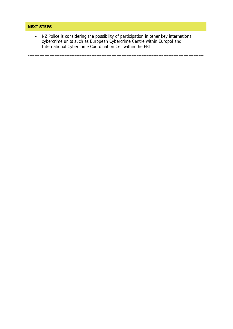### **NEXT STEPS**

 NZ Police is considering the possibility of participation in other key international cybercrime units such as European Cybercrime Centre within Europol and International Cybercrime Coordination Cell within the FBI.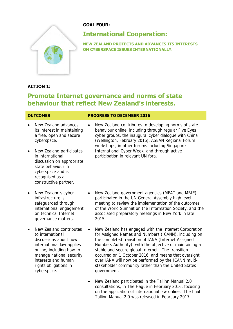

## **GOAL FOUR:**

## **International Cooperation:**

**NEW ZEALAND PROTECTS AND ADVANCES ITS INTERESTS ON CYBERSPACE ISSUES INTERNATIONALLY.**

## **ACTION 1:**

## **Promote Internet governance and norms of state behaviour that reflect New Zealand's interests.**

- New Zealand advances its interest in maintaining a free, open and secure cyberspace.
- New Zealand participates in international discussion on appropriate state behaviour in cyberspace and is recognised as a constructive partner.
- New **Zealand's cyber** infrastructure is safeguarded through international engagement on technical Internet governance matters.
- New Zealand contributes to international discussions about how international law applies online, including how to manage national security interests and human rights obligations in cyberspace.

## **OUTCOMES PROGRESS TO DECEMBER 2016**

- New Zealand contributes to developing norms of state behaviour online, including through regular Five Eyes cyber groups, the inaugural cyber dialogue with China (Wellington, February 2016), ASEAN Regional Forum workshops, in other forums including Singapore International Cyber Week, and through active participation in relevant UN fora.
- New Zealand government agencies (MFAT and MBIE) participated in the UN General Assembly high level meeting to review the implementation of the outcomes of the World Summit on the Information Society, and the associated preparatory meetings in New York in late 2015.
- New Zealand has engaged with the Internet Corporation for Assigned Names and Numbers (ICANN), including on the completed transition of IANA (Internet Assigned Numbers Authority), with the objective of maintaining a stable and secure global Internet. The transition occurred on 1 October 2016, and means that oversight over IANA will now be performed by the ICANN multistakeholder community rather than the United States government.
- New Zealand participated in the Tallinn Manual 2.0 consultations, in The Hague in February 2016, focusing on the application of international law online. The final Tallinn Manual 2.0 was released in February 2017.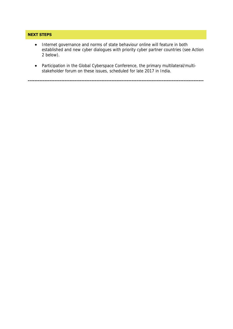## **NEXT STEPS**

- Internet governance and norms of state behaviour online will feature in both established and new cyber dialogues with priority cyber partner countries (see Action 2 below).
- Participation in the Global Cyberspace Conference, the primary multilateral/multistakeholder forum on these issues, scheduled for late 2017 in India.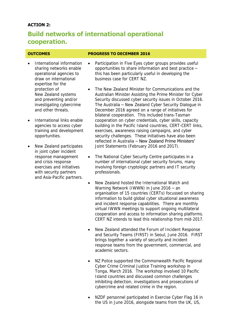## **ACTION 2:**

## **Build networks of international operational cooperation.**

### **OUTCOMES PROGRESS TO DECEMBER 2016**

- International information sharing networks enable operational agencies to draw on international expertise for the protection of New Zealand systems and preventing and/or investigating cybercrime and other threats.
- International links enable agencies to access cyber training and development opportunities.
- New Zealand participates in joint cyber incident response management and crisis response exercises and initiatives with security partners and Asia-Pacific partners.

 Participation in Five Eyes cyber groups provides useful opportunities to share information and best practice – this has been particularly useful in developing the business case for CERT NZ.

- The New Zealand Minister for Communications and the Australian Minister Assisting the Prime Minister for Cyber Security discussed cyber security issues in October 2016. The Australia – New Zealand Cyber Security Dialogue in December 2016 agreed on a range of initiatives for bilateral cooperation. This included trans-Tasman cooperation on cyber credentials, cyber skills, capacity building in the Pacific Island countries, CERT-CERT links, exercises, awareness raising campaigns, and cyber security challenges. These initiatives have also been reflected in Australia – New Zealand Prime Ministers' Joint Statements (February 2016 and 2017).
- The National Cyber Security Centre participates in a number of international cyber security forums, many involving foreign cryptologic partners and IT security professionals.
- New Zealand hosted the International Watch and Warning Network (IWWN) in June 2016 – an organisation of 15 countries (CERTs) focussed on sharing information to build global cyber situational awareness and incident response capabilities. There are monthly virtual IWWN meetings to support ongoing multilateral cooperation and access to information sharing platforms. CERT NZ intends to lead this relationship from mid-2017.
- New Zealand attended the Forum of Incident Response and Security Teams (FIRST) in Seoul, June 2016. FIRST brings together a variety of security and incident response teams from the government, commercial, and academic sectors.
- NZ Police supported the Commonwealth Pacific Regional Cyber Crime Criminal Justice Training workshop in Tonga, March 2016. The workshop involved 10 Pacific Island countries and discussed common challenges inhibiting detection, investigations and prosecutions of cybercrime and related crime in the region.
- NZDF personnel participated in Exercise Cyber Flag 16 in the US in June 2016, alongside teams from the UK, US,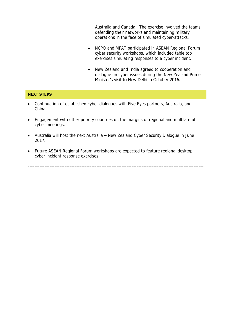Australia and Canada. The exercise involved the teams defending their networks and maintaining military operations in the face of simulated cyber-attacks.

- NCPO and MFAT participated in ASEAN Regional Forum cyber security workshops, which included table top exercises simulating responses to a cyber incident.
- New Zealand and India agreed to cooperation and dialogue on cyber issues during the New Zealand Prime Minister's visit to New Delhi in October 2016.

### **NEXT STEPS**

- Continuation of established cyber dialogues with Five Eyes partners, Australia, and China.
- Engagement with other priority countries on the margins of regional and multilateral cyber meetings.
- Australia will host the next Australia New Zealand Cyber Security Dialogue in June 2017.
- Future ASEAN Regional Forum workshops are expected to feature regional desktop cyber incident response exercises.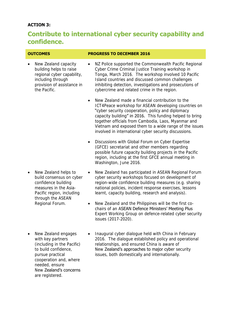## **ACTION 3:**

## **Contribute to international cyber security capability and confidence.**

 New Zealand capacity building helps to raise regional cyber capability, including through provision of assistance in the Pacific.

### **OUTCOMES PROGRESS TO DECEMBER 2016**

- NZ Police supported the Commonwealth Pacific Regional Cyber Crime Criminal Justice Training workshop in Tonga, March 2016. The workshop involved 10 Pacific Island countries and discussed common challenges inhibiting detection, investigations and prosecutions of cybercrime and related crime in the region.
- New Zealand made a financial contribution to the ICT4Peace workshop for ASEAN developing countries on "cyber security cooperation, policy and diplomacy capacity building" in 2016. This funding helped to bring together officials from Cambodia, Laos, Myanmar and Vietnam and exposed them to a wide range of the issues involved in international cyber security discussions.
- Discussions with Global Forum on Cyber Expertise (GFCE) secretariat and other members regarding possible future capacity building projects in the Pacific region, including at the first GFCE annual meeting in Washington, June 2016.
- New Zealand helps to build consensus on cyber confidence building measures in the Asia-Pacific region, including through the ASEAN Regional Forum.
- New Zealand engages with key partners (including in the Pacific) to build confidence, pursue practical cooperation and, where needed, ensure New Zealand's concerns are registered.
- New Zealand has participated in ASEAN Regional Forum cyber security workshops focused on development of region-wide confidence building measures (e.g. sharing national policies, incident response exercises, lessons learnt, capacity building, research and analysis).
- New Zealand and the Philippines will be the first cochairs of an ASEAN Defence Ministers' Meeting Plus Expert Working Group on defence-related cyber security issues (2017-2020).
- Inaugural cyber dialogue held with China in February 2016. The dialogue established policy and operational relationships, and ensured China is aware of New Zealand's approaches to major cyber security issues, both domestically and internationally.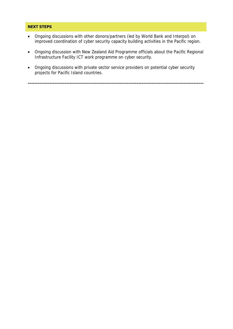### **NEXT STEPS**

- Ongoing discussions with other donors/partners (led by World Bank and Interpol) on improved coordination of cyber security capacity building activities in the Pacific region.
- Ongoing discussion with New Zealand Aid Programme officials about the Pacific Regional Infrastructure Facility ICT work programme on cyber security.
- Ongoing discussions with private sector service providers on potential cyber security projects for Pacific Island countries.